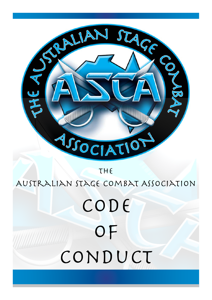

# CODE of CONDUCT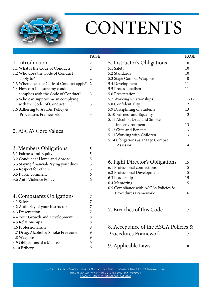<span id="page-1-0"></span>

## CONTENTS

|                                          | <b>PAGE</b>    |
|------------------------------------------|----------------|
| 1. Introduction                          | 2              |
| 1.1 What is the Code of Conduct?         | $\overline{2}$ |
| 1.2 Who does the Code of Conduct         |                |
| apply to?                                | 2              |
| 1.3 When does the Code of Conduct apply? | $\overline{2}$ |
| 1.4 How can I be sure my conduct         |                |
| complies with the Code of Conduct?       | 3              |
| 1.5 Who can support me in complying      |                |
| with the Code of Conduct?                | 3              |
| 1.6 Adhering to ASCA's Policy &          |                |
| Procedures Framework.                    | 3              |
|                                          |                |
| 2. ASCA's Core Values                    | 4              |
| 3. Members Obligations                   | 5              |
| 3.1 Fairness and Equity                  | 5              |
| 3.2 Conduct at Home and Abroad           | 5              |
| 3.3 Staying financial/Paying your dues   | 5              |
| 3.4 Respect for others                   | 5              |
| 3.5 Public comment                       | 6              |
| 3.6 Anti-Violence Policy                 | 6              |
| 4. Combatants Obligations                | 7              |
| 4.1 Safety                               | 7              |
| 4.2 Authority of your Instructor         | 7              |
| 4.3 Presentation                         | 7              |
| 4.4 Your Growth and Development          | 8              |
| 4.5 Relationships                        | 8              |
| 4.6 Professionalism                      | 8              |
| 4.7 Drug, Alcohol & Smoke Free zone      | 9              |
| 4.8 Weapons                              | 9              |
| 4.9 Obligations of a Mentee              | 9              |
| 4.10 Bribery                             | 9              |

|                                    | <b>PAGE</b> |
|------------------------------------|-------------|
| 5. Instructor's Obligations        | 10          |
| 5.1 Safety                         | 10          |
| 5.2 Standards                      | 10          |
| 5.3 Stage Combat Weapons           | 10          |
| 5.4 Development                    | 11          |
| 5.5 Professionalism                | 11          |
| 5.6 Presentation                   | 11          |
| 5.7 Working Relationships          | 11-12       |
| 5.8 Confidentiality                | 12          |
| 5.9 Disciplining of Students       | 13          |
| 5.10 Fairness and Equality         | 13          |
| 5.11 Alcohol, Drug and Smoke       |             |
| free environment                   | 13          |
| 5.12 Gifts and Benefits            | 13          |
| 5.13 Working with Children         | 13          |
| 5.14 Obligations as a Stage Combat |             |
| Assessor                           | 14          |
|                                    |             |

| 6. Fight Director's Obligations       | 15 |
|---------------------------------------|----|
| 6.1 Professional connections          | 15 |
| 6.2 Professional Development          | 15 |
| 6.3 Leadership                        | 15 |
| 6.4 Mentoring                         | 15 |
| 6.5 Compliance with ASCA's Policies & |    |
| Procedures Framework.                 | 16 |
|                                       |    |
|                                       |    |
| 7. Breaches of this Code              |    |
|                                       |    |

| 8. Acceptance of the ASCA Policies & |    |
|--------------------------------------|----|
| Procedures Framework                 | 17 |
| 9. Applicable Laws                   | 18 |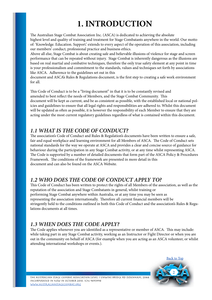## **1. INTRODUCTION**

<span id="page-2-0"></span>The Australian Stage Combat Association Inc. (ASCA) is dedicated to achieving the absolute highest level and quality of training and treatment for Stage Combatants anywhere in the world. Our motto of: 'Knowledge. Education. Support.' extends to every aspect of the operation of this association, including our members' conduct, professional practice and business ethics.

Above all else, Stage Combat is about creating safe and believable illusions of violence for stage and screen performance that can be repeated without injury. Stage Combat is inherently dangerous as the illusions are based on real martial and combative techniques, therefore the only true safety element at any point in time is your professionalism and commitment to the standards, values and techniques set forth by associations like ASCA. Adherence to the guidelines set out in this

document and ASCA's Rules & Regulations document, is the first step to creating a safe work environment for all.

This Code of Conduct is to be a "living document" in that it is to be constantly revised and amended to best reflect the needs of Members, and the Stage Combat Community. This document will be kept as current, and be as consistent as possible, with the established local or national policies and guidelines to ensure that all legal rights and responsibilities are adhered to. Whilst this document will be updated as often as possible, it is however the responsibility of each Member to ensure that they are acting under the most current regulatory guidelines regardless of what is contained within this document.

#### *1.1 WHAT IS THE CODE OF CONDUCT?*

The association's Code of Conduct and Rules & Regulation's documents have been written to ensure a safe, fair and equal workplace and learning environment for all Members of ASCA. The Code of Conduct sets national standards for the way we operate at ASCA and provides a clear and concise source of guidance for behaviour during the participation in any Stage Combat activity, or at any time whilst representing ASCA. The Code is supported by a number of detailed documents that form part of the ASCA Policy & Procedures Framework. The conditions of the framework are presented in more detail in this document and can also be found on the ASCA Website.

#### *1.2 WHO DOES THE CODE OF CONDUCT APPLY TO?*

This Code of Conduct has been written to protect the rights of all Members of the association, as well as the reputation of the association and Stage Combatants in general, whilst training or performing Stage Combat anywhere within Australia, or at any time you may be seen as representing the association internationally. Therefore all current financial members will be stringently held to the conditions outlined in both this Code of Conduct and the association's Rules & Regulations documents at all times.

#### *1.3 WHEN DOES THE CODE APPLY?*

The Code applies whenever you are identified as a representative or member of ASCA. This may include: while taking part in any Stage Combat activity, working as an Instructor or Fight Director or when you are out in the community on behalf of ASCA (for example when you are acting as an ASCA volunteer, or whilst attending international workshops or events.).

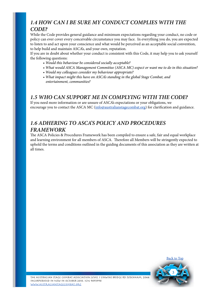#### <span id="page-3-0"></span>*1.4 HOW CAN I BE SURE MY CONDUCT COMPLIES WITH THE CODE?*

While the Code provides general guidance and minimum expectations regarding your conduct, no code or policy can ever cover every conceivable circumstance you may face. In everything you do, you are expected to listen to and act upon your conscience and what would be perceived as an acceptable social convention, to help build and maintain ASCA's, and your own, reputation.

If you are in doubt about whether your conduct is consistent with this Code, it may help you to ask yourself the following questions:

- *Would this behaviour be considered socially acceptable?*
- *• What would ASCA Management Committee (ASCA MC) expect or want me to do in this situation?*
- *• Would my colleagues consider my behaviour appropriate?*
- *• What impact might this have on ASCA's standing in the global Stage Combat, and entertainment, communities?*

#### *1.5 WHO CAN SUPPORT ME IN COMPLYING WITH THE CODE?*

If you need more information or are unsure of ASCA's expectations or your obligations, we encourage you to contact the ASCA MC ([info@australianstagecombat.org\)](mailto:info%40australianstagecombat.org?subject=) for clarification and guidance.

#### *1.6 ADHERING TO ASCA'S POLICY AND PROCEDURES FRAMEWORK*

The ASCA Policies & Procedures Framework has been compiled to ensure a safe, fair and equal workplace and learning environment for all members of ASCA. Therefore all Members will be stringently expected to uphold the terms and conditions outlined in the guiding documents of this association as they are written at all times.

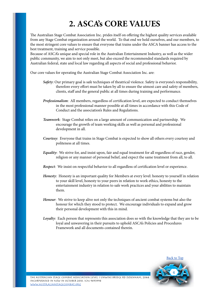## **2. ASCA's CORE VALUES**

<span id="page-4-0"></span>The Australian Stage Combat Association Inc. prides itself on offering the highest quality services available from any Stage Combat organization around the world. To that end we hold ourselves, and our members, to the most stringent core values to ensure that everyone that trains under the ASCA banner has access to the best treatment, training and service possible.

Because of ASCA's unique and special role in the Australian Entertainment Industry, as well as the wider public community, we aim to not only meet, but also exceed the recommended standards required by Australian federal, state and local law regarding all aspects of social and professional behavior.

Our core values for operating the Australian Stage Combat Association Inc. are:

- *Safety*: Our primary goal is safe techniques of theatrical violence. Safety is everyone's responsibility, therefore every effort must be taken by all to ensure the utmost care and safety of members, clients, staff and the general public at all times during training and performance.
- *Professionalism*: All members, regardless of certification level, are expected to conduct themselves in the most professional manner possible at all times in accordance with this Code of Conduct and the association's Rules and Regulations.
- *Teamwork*: Stage Combat relies on a large amount of communication and partnership. We encourage the growth of team working skills as well as personal and professional development in all.
- *Courtesy*: Everyone that trains in Stage Combat is expected to show all others every courtesy and politeness at all times.
- *Equality*: We strive for, and insist upon, fair and equal treatment for all regardless of race, gender, religion or any manner of personal belief, and expect the same treatment from all, to all.
- *Respect*: We insist on respectful behavior to all regardless of certification level or experience.
- *Honesty*: Honesty is an important quality for Members at every level: honesty to yourself in relation to your skill level, honesty to your peers in relation to work ethics, honesty to the entertainment industry in relation to safe work practices and your abilities to maintain them.
- *Honour*: We strive to keep alive not only the techniques of ancient combat systems but also the honour for which they stood to protect. We encourage individuals to expand and grow their personal development with this in mind.
- *Loyalty*: Each person that represents this association does so with the knowledge that they are to be loyal and unwavering in their pursuits to uphold ASCA's Policies and Procedures Framework and all documents contained therein.

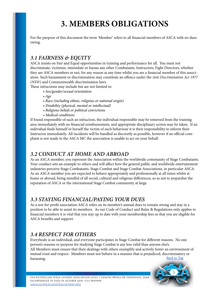## **3. MEMBERS OBLIGATIONS**

<span id="page-5-0"></span>For the purpose of this document the term 'Member' refers to all financial members of ASCA with no dues owing.

#### *3.1 FAIRNESS & EQUITY*

ASCA insists on Fair and Equal opportunities in training and performance for all. You must not discriminate, victimise, intimidate or harass any other Combatants, Instructors, Fight Directors, whether they are ASCA members or not, for any reason at any time whilst you are a financial member of this association. Such harassment or discrimination may constitute an offence under the *Anti Discrimination Act 1977 (NSW)* and Commonwealth discrimination laws.

These infractions may include but are not limited to:

- *Sex/gender/sexual orientation*
- *• Age*
- *• Race (including ethnic, religious or national origin)*
- *• Disability (physical, mental or intellectual)*
- *• Religious beliefs or political convictions*
- *• Medical conditions*

If found responsible of such an infraction, the individual responsible may be removed from the training area immediately with no financial reimbursement, and appropriate disciplinary action may be taken. If an individual finds himself or herself the victim of such behaviour it is their responsibility to inform their Instructor immediately. All incidents will be handled as discreetly as possible, however if an official complaint is not made to the ASCA MC the association is unable to act on your behalf.

#### *3.2 CONDUCT AT HOME AND ABROAD*

As an ASCA member, you represent the Association within the worldwide community of Stage Combatants. Your conduct sets an example to others and will affect how the general public and worldwide entertainment industries perceive Stage Combatants, Stage Combat and Stage Combat Associations, in particular ASCA. As an ASCA member you are expected to behave appropriately and professionally at all times whilst at home or abroad, being mindful of all social, cultural and religious differences, so as not to jeopardise the reputation of ASCA or the international Stage Combat community at large.

#### *3.3 STAYING FINANCIAL/PAYING YOUR DUES*

As a not-for-profit association ASCA relies on its member's annual dues to remain strong and stay in a position to be able to assist its members. As our Code of Conduct and Rules & Regulations only applies to financial members it is vital that you stay up to date with your membership fees so that you are eligible for ASCA benefits and support.

#### *3.4 RESPECT FOR OTHERS*

Everybody is an individual, and everyone participates in Stage Combat for different reasons. No one person's reasons or purpose for studying Stage Combat is any less valid than anyone else's. All Members must ensure that their dealings with others exemplify and actively foster an environment of mutual trust and respect. Members must not behave in a manner that is prejudiced, discriminatory or harassing. [Back to Top](#page-1-0)

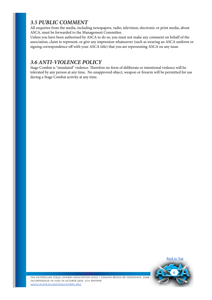#### <span id="page-6-0"></span>*3.5 PUBLIC COMMENT*

All enquiries from the media, including newspapers, radio, television, electronic or print media, about ASCA, must be forwarded to the Management Committee.

Unless you have been authorised by ASCA to do so, you must not make any comment on behalf of the association, claim to represent, or give any impression whatsoever (such as wearing an ASCA uniform or signing correspondence off with your ASCA title) that you are representing ASCA on any issue.

#### *3.6 ANTI-VIOLENCE POLICY*

Stage Combat is "simulated" violence. Therefore no form of deliberate or intentional violence will be tolerated by any person at any time. No unapproved object, weapon or firearm will be permitted for use during a Stage Combat activity at any time.

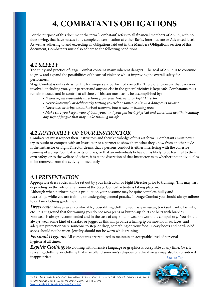## **4. COMBATANTS OBLIGATIONS**

<span id="page-7-0"></span>For the purpose of this document the term 'Combatant' refers to all financial members of ASCA, with no dues owing, that have successfully completed certification at either Basic, Intermediate or Advanced level. As well as adhering to and exceeding all obligations laid out in the **Members Obligations** section of this document, Combatants must also adhere to the following conditions:

#### *4.1 SAFETY*

The study and practice of Stage Combat contains many inherent dangers. The goal of ASCA is to continue to grow and expand the possibilities of theatrical violence whilst improving the overall safety for performers.

Stage Combat is only safe when the techniques are performed correctly. Therefore to ensure that everyone involved, including you, your partner and anyone else in the general vicinity is kept safe, Combatants must remain focused and in control at all times. This can most easily be accomplished by:

- *• Following all reasonable directions from your Instructor or Fight Director*
- *• Never knowingly or deliberately putting yourself or someone else in a dangerous situation.*
- *• Never use, or bring, unauthorised weapons into a class or training area.*

 *• Make sure you keep aware of both yours and your partner's physical and emotional health, including any sign of fatigue that may make training unsafe.*

#### *4.2 AUTHORITY OF YOUR INSTRUCTOR*

Combatants must respect their Instructors and their knowledge of this art form. Combatants must never try to outdo or compete with an Instructor or a partner to show them what they know from another style. If the Instructor or Fight Director deems that a person's conduct is either interfering with the cohesive running of a Stage Combat activity or class, or that an individuals behaviour is likely to be harmful to their own safety, or to the welfare of others, it is at the discretion of that Instructor as to whether that individual is to be removed from the activity immediately.

#### *4.3 PRESENTATION*

Appropriate dress codes will be set out by your Instructor or Fight Director prior to training. This may vary depending on the role or environment the Stage Combat activity is taking place in. Although when performing in a production your costume may be quite complex, bulky and restricting, while you are training or undergoing general practice in Stage Combat you should always adhere to certain clothing guidelines.

*Dress code:* Always wear comfortable, loose-fitting clothing such as gym-wear, tracksuit pants, T-shirts, etc. It is suggested that for training you do not wear jeans or button-up shirts or belts with buckles. Footwear is always recommended and in the case of any kind of weapon work it is compulsory. You should always wear some kind of sneaker or jogger as this will provide a firm grip on most floor surfaces, and adequate protection were someone to step, or drop, something on your foot. Heavy boots and hard-soled shoes should not be worn. Jewelry should not be worn while training.

*Personal Hygiene:* All combatants are required to maintain an acceptable level of personal hygiene at all times.

*Explicit Clothing:* No clothing with offensive language or graphics is acceptable at any time. Overly revealing clothing, or clothing that may offend someone's religious or ethical views may also be considered inappropriate. [Back to Top](#page-1-0)

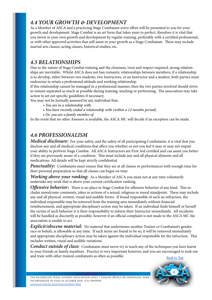#### <span id="page-8-0"></span>*4.4 YOUR GROWTH & DEVELOPMENT*

As a Member of ASCA and a practicing Stage Combatant every effort will be presented to you for your growth and development. Stage Combat is an art form that takes years to perfect, therefore it is vital that you invest in your own growth and development by regular training, preferably with a certified professional, or with other approved activities that will assist in your growth as a Stage Combatant. These may include martial arts classes, acting classes, historical studies, etc.

#### *4.5 RELATIONSHIPS*

Due to the nature of Stage Combat training and the closeness, trust and respect required, strong relationships are inevitable. Whilst ASCA does not ban romantic relationships between members, if a relationship is to develop, either between two students, two Instructors, or an Instructor and a student, both parties must endeavour to retain a professional attitude and working relationship.

If this relationship cannot be managed in a professional manner, then the two parties involved should strive to remain separated as much as possible during training, teaching or performing. The association may take action to set out specific guidelines if necessary.

You may not be formally assessed by any individual that;

- *• You are in a relationship with.*
- *• You have recently ended a relationship with (within a 12 months period).*
- *• Or, you are a family member of.*

In the event that no other Assessor is available, the ASCA MC will decide if an exception can be made.

#### *4.6 PROFESSIONALISM*

*Medical disclosure:* For your safety, and the safety of all participating Combatants, it is vital that you disclose any and all medical conditions that affect you whether or not you feel it may or may not impair your ability to perform Stage Combat. All ASCA Instructors are First Aid certified and can assist you better if they are previously aware of a condition. This must include any and all physical aliments and all medications. All details will be kept strictly confidential.

*Punctuality:* Combatants must ensure that they are at all classes or performances with enough time for their personal preparation so that all classes can begin on time.

*Working above your ranking:* As a Member of ASCA you must not at any time voluntarily undertake any work that is above your current certification ranking.

*Offensive behavior:* There is no place in Stage Combat for offensive behavior of any kind. This includes unwelcome comments, jokes or actions of a sexual, religious or moral standpoint. These may include any and all physical, written, visual and audible forms. If found responsible of such an infraction, the individual responsible may be removed from the training area immediately without financial reimbursement, and appropriate disciplinary action may be taken. If an individual finds himself or herself the victim of such behavior it is their responsibility to inform their Instructor immediately. All incidents will be handled as discreetly as possible, however if an official complaint is not made to the ASCA MC the association is unable to act.

*Explicit/obscene material:* No material that undermines another Trainee or Combatant's gender, race or beliefs, is allowable at any time. If such items are found to be so, it will be removed immediately and appropriate disciplinary action may be taken against the individual responsible for the infraction. This includes written, visual and audible variations.

*Conduct outside of class:* Combatants must never try to teach any of the techniques you have learnt to your friends or family members. Practice is very important however, and you are encouraged to seek out and train with other trained combatants as often as possible. [Back to Top](#page-1-0)

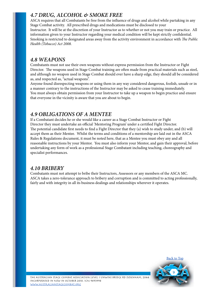#### <span id="page-9-0"></span>*4.7 DRUG, ALCOHOL & SMOKE FREE*

ASCA requires that all Combatants be free from the influence of drugs and alcohol while partaking in any Stage Combat activity. All prescribed drugs and medications must be disclosed to your Instructor. It will be at the discretion of your Instructor as to whether or not you may train or practice. All information given to your Instructor regarding your medical condition will be kept strictly confidential. Smoking is restricted to designated areas away from the activity environment in accordance with *The Public Health (Tobacco) Act 2008.*

#### *4.8 WEAPONS*

Combatants must not use their own weapons without express permission from the Instructor or Fight Director. The weapons used in Stage Combat training are often made from practical materials such as steel, and although no weapon used in Stage Combat should ever have a sharp edge, they should all be considered as, and respected as, "actual weapons".

Anyone found disrespecting weapons or using them in any way considered dangerous, foolish, unsafe or in a manner contrary to the instructions of the Instructor may be asked to cease training immediately. You must always obtain permission from your Instructor to take up a weapon to begin practice and ensure that everyone in the vicinity is aware that you are about to begin.

#### *4.9 OBLIGATIONS OF A MENTEE*

If a Combatant decides he or she would like a career as a Stage Combat Instructor or Fight Director they must undertake an official 'Mentoring Program' under a certified Fight Director. The potential candidate first needs to find a Fight Director that they (a) wish to study under, and (b) will accept them as their Mentee. Whilst the terms and conditions of a mentorship are laid out in the ASCA Rules & Regulations document, it must be noted here, that as a Mentee you must obey any and all reasonable instructions by your Mentor. You must also inform your Mentor, and gain their approval, before undertaking any form of work as a professional Stage Combatant including teaching, choreography and specialist performances.

#### *4.10 BRIBERY*

Combatants must not attempt to bribe their Instructors, Assessors or any members of the ASCA MC. ASCA takes a zero-tolerance approach to bribery and corruption and is committed to acting professionally, fairly and with integrity in all its business dealings and relationships wherever it operates.

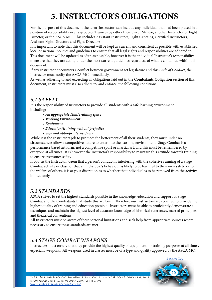## **5. INSTRUCTOR'S OBLIGATIONS**

<span id="page-10-0"></span>For the purpose of this document the term 'Instructor' can include any individual that had been placed in a position of responsibility over a group of Trainees by either their direct Mentor, another Instructor or Fight Director, or the ASCA MC. This includes Assistant Instructors, Fight Captains, Certified Instructors, Assistant Fight Directors and Fight Directors.

It is important to note that this document will be kept as current and consistent as possible with established local or national policies and guidelines to ensure that all legal rights and responsibilities are adhered to. This document will be updated as often as possible, however it is the individual Instructor's responsibility to ensure that they are acting under the most current guidelines regardless of what is contained within this document.

If any Instructor encounters a conflict between government set legislature and this *Code of Conduct*, the Instructor must notify the ASCA MC immediately.

As well as adhering to and exceeding all obligations laid out in the **Combatants Obligation** section of this document, Instructors must also adhere to, and enforce, the following conditions.

#### *5.1 SAFETY*

It is the responsibility of Instructors to provide all students with a safe learning environment including:

- *An appropriate Hall/Training space*
- *• Working Environment*
- *• Equipment*
- *• Education/training without prejudice*
- *• Safe and appropriate weapons*

While it is the Instructors job to promote the betterment of all their students, they must under no circumstances allow a competitive nature to enter into the learning environment. Stage Combat is a performance based art form, not a competitive sport or martial art, and this must be remembered by everyone at all times. It is however the Instructor's responsibility to maintain this attitude towards training to ensure everyone's safety.

If you, as the Instructor, deem that a person's conduct is interfering with the cohesive running of a Stage Combat activity or class, or that an individual's behaviour is likely to be harmful to their own safety, or to the welfare of others, it is at your discretion as to whether that individual is to be removed from the activity immediately.

#### *5.2 STANDARDS*

ASCA strives to set the highest standards possible in the knowledge, education and support of Stage Combat and the Combatants that study this art form. Therefore our Instructors are required to provide the highest quality of training and education possible. Instructors must be able to proficiently demonstrate all techniques and maintain the highest level of accurate knowledge of historical references, martial principles and theatrical conventions.

All Instructors must be aware of their personal limitations and seek help from appropriate sources where necessary to ensure these standards are met.

#### *5.3 STAGE COMBAT WEAPONS*

Instructors must ensure that they provide the highest quality of equipment for training purposes at all times, especially weapons. All weapons used in classes must be of a type and quality approved by the ASCA MC.

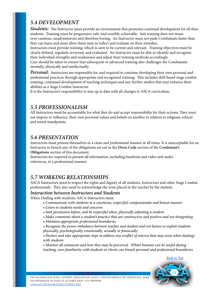#### <span id="page-11-0"></span>*5.4 DEVELOPMENT*

*Students:* The Instructor must provide an environment that promotes continual development for all their students. Training must be progressive, safe, and sensibly achievable. Safe training does not mean over-cautious, unadventurous and therefore boring. An Instructor must not push Combatants faster than they can learn and must allow them time to reflect and evaluate on their mistakes.

Instructors must provide training, which is seen to be current and relevant. Training objectives must be clearly defined, regularly reviewed, and evaluated. An Instructor must be able to identify and recognise their individual strengths and weaknesses and adjust their training methods accordingly.

Care should be taken to ensure that subsequent or advanced training also challenges the Combatants mentally, physically and intellectually.

*Personal:* Instructors are responsible for, and required to continue developing their own personal and professional practices through appropriate and recognised training. This includes skill-based stage combat training, continued development of teaching techniques and any further studies that may enhance their abilities as a Stage Combat Instructor.

It is the Instructor's responsibility to stay up to date with all changes to ASCA curriculum.

#### *5.5 PROFESSIONALISM*

All Instructors must be accountable for what they do and accept responsibility for their actions. They must not impose or influence, their own personal values and beliefs on another in relation to religious, ethical and moral standpoints.

#### *5.6 PRESENTATION*

Instructors must present themselves in a clean and professional manner at all times. It is unacceptable for an Instructor to breach any of the obligations set out in the **Dress Code** section of the **Combatant's Obligations** section of this document.

Instructors are required to present all information, including handouts and video and audio references, in a professional manner.

#### *5.7 WORKING RELATIONSHIPS*

ASCA Instructors need to respect the rights and dignity of all students, Instructors and other Stage Combat professionals. They also need to acknowledge the trust placed in the teacher by the student.

#### *Interaction between Instructors and Students*

When Dealing with students, ASCA Instructors must:

- *Communicate with students in a courteous, respectful, compassionate and honest manner*
- *• Listen to students needs and concerns*
- *• Seek permission before, and be respectful when, physically adjusting a student*
- *• Make comments about a student's practice that are constructive and positive and not denigrating*
- *• Maintain appropriate professional boundaries.*

 *• Recognise the power-imbalance between teacher and student and not harass or exploit students physically, psychologically, emotionally, sexually or financially*

 *• Declare and take appropriate steps to address any conflict of interest that may arise when dealings with students*

 *• Monitor all comments and how they may be perceived. Whilst humour can be useful during teaching, over familiarity with students or clients can breach personal and professional boundaries*

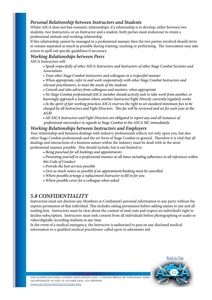#### <span id="page-12-0"></span>*Personal Relationship between Instructors and Students*

Whilst ASCA does not ban romantic relationships, if a relationship is to develop, either between two students, two Instructors, or an Instructor and a student, both parties must endeavour to retain a professional attitude and working relationship.

If this relationship cannot be managed in a professional manner then the two parties involved should strive to remain separated as much as possible during training, teaching or performing. The Association may take action to spell out specific guidelines if necessary.

#### *Working Relationships between Peers*

ASCA Instructors will:

 • *Speak respectfully of other ASCA Instructors and Instructors of other Stage Combat Societies and Associations*

 *• Treat other Stage Combat Instructors and colleagues in a respectful manner*

 *• When appropriate, refer to and work cooperatively with other Stage Combat Instructors and relevant practitioners, to meet the needs of the students*

 *• Consult and take advice from colleagues and mentors, when appropriate*

 *• No Stage Combat professional/ASCA member should actively seek to take work from another, or*

 *knowingly approach a location where another Instructor/Fight Directly currently/regularly works*

• In the spirit of fair working practices ASCA reserves the right to set standard minimum fees to be charged by all Instructors and Fight Directors. This fee will be reviewed and set for each year at the  *AGM*

 *• All ASCA Instructors and Fight Directors are obligated to report any and all instances of professional misconduct in regards to Stage Combat to the ASCA MC immediately*

#### *Working Relationships between Instructors and Employers*

Your relationship and business dealings with industry professionals reflects not only upon you, but also other Stage Combat professionals and the art form of Stage Combat in general. Therefore it is vital that all dealings and interactions of a business nature within the industry must be dealt with in the most professional manner possible. This should include, but is not limited to:

 • *Being punctual for all bookings and appointments*

 *• Presenting yourself in a professional manner at all times including adherence to all references within this Code of Conduct*

- *• Provide the best services possible*
- *• Give as much notice as possible if an appointment/booking must be cancelled*
- *• Where possible arrange a replacement Instructor to fill in for you*
- *• Where possible cover for a colleague when asked*

#### *5.8 CONFIDENTIALITY*

Instructors must not disclose any Members or Combatant's personal information to any party without the express permission of that individual. This includes asking permission before adding names to any and all mailing lists. Instructors must be clear about the content of mail-outs and respect an individual's right to decline subscription. Instructors must seek consent from all individuals before photographing or audio or video/digitally recording students at any time.

In the event of a medical emergency, the Instructor is authorised to pass on any disclosed medical information to a qualified medical practitioner called upon to administer aid.

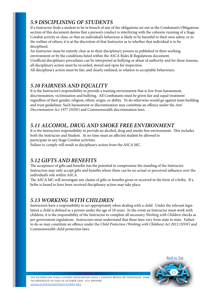#### <span id="page-13-0"></span>*5.9 DISCIPLINING OF STUDENTS*

If a Instructor finds a student to be in breach of any of the obligations set out in the Combatant's Obligations section of this document deems that a person's conduct is interfering with the cohesive running of a Stage Combat activity or class, or that an individual's behaviour is likely to be harmful to their own safety, or to the welfare of others; it is at the discretion of that Instructor as to whether that individual is to be disciplined.

An Instructor must be entirely clear as to their disciplinary powers as published in their working environment or by the conditions listed within the ASCA Rules & Regulations document. Unofficial disciplinary procedures can be interpreted as bullying or abuse of authority and for these reasons,

all disciplinary action must be recorded, stored and open for inspection. All disciplinary action must be fair, and clearly outlined, in relation to acceptable behaviours.

#### *5.10 FAIRNESS AND EQUALITY*

It is the Instructor's responsibility to provide a training environment that is free from harassment, discrimination, victimisation and bullying. All Combatants must be given fair and equal treatment regardless of their gender, religion, ethnic origin, or ability. To do otherwise would go against team building and trust guidelines. Such harassment or discrimination may constitute an offence under the *Anti Discrimination Act 1977 (NSW)* and Commonwealth discrimination laws.

#### *5.11 ALCOHOL, DRUG AND SMOKE FREE ENVIRONMENT*

It is the Instructors responsibility to provide an alcohol, drug and smoke free environment. This includes both the Instructor and Student. At no time must an affected student be allowed to participate in any Stage Combat activities.

Failure to comply will result in disciplinary action from the ASCA MC.

#### *5.12 GIFTS AND BENEFITS*

The acceptance of gifts and benefits has the potential to compromise the standing of the Instructor. Instructors may only accept gifts and benefits where there can be no actual or perceived influence over the individual's role within ASCA.

The ASCA MC will investigate any claims of gifts or benefits given or received in the form of a bribe. If a bribe is found to have been received disciplinary action may take place.

#### *5.13 WORKING WITH CHILDREN*

Instructors have a responsibility to act appropriately when dealing with a child. Under the relevant legislation a child is defined as a person under the age of 18 years. In the event an Instructor must work with children, it is the responsibility of the Instructor to complete all necessary *Working with Children* checks as per government regulations. Instructors must understand that these laws vary from state to state. Failure to do so may constitute an offence under the *Child Protection (Working with Children) Act 2012 (NSW)* and Commonwealth child protection laws.



[Back to Top](#page-1-0)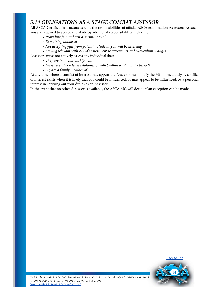#### <span id="page-14-0"></span>*5.14 OBLIGATIONS AS A STAGE COMBAT ASSESSOR*

All ASCA Certified Instructors assume the responsibilities of official ASCA examination Assessors. As such you are required to accept and abide by additional responsibilities including:

- *Providing fair and just assessment to all*
- *• Remaining unbiased*
- *• Not accepting gifts from potential students you will be assessing*
- *Staying relevant with ASCA's assessment requirements and curriculum changes*
- Assessors must not actively assess any individual that;
	- *They are in a relationship with*
	- *• Have recently ended a relationship with (within a 12 months period)*
	- *• Or, are a family member of*

At any time where a conflict of interest may appear the Assessor must notify the MC immediately. A conflict of interest exists when it is likely that you could be influenced, or may appear to be influenced, by a personal interest in carrying out your duties as an Assessor.

In the event that no other Assessor is available, the ASCA MC will decide if an exception can be made.

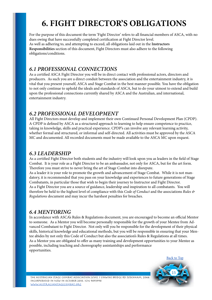## **6. FIGHT DIRECTOR'S OBLIGATIONS**

<span id="page-15-0"></span>For the purpose of this document the term 'Fight Director' refers to all financial members of ASCA, with no dues owing that have successfully completed certification at Fight Director level. As well as adhering to, and attempting to exceed, all obligations laid out in the **Instructors Responsibilities** section of this document, Fight Directors must also adhere to the following obligations/conditions.

#### *6.1 PROFESSIONAL CONNECTIONS*

As a certified ASCA Fight Director you will be in direct contact with professional actors, directors and producers. As such you are a direct conduit between the association and the entertainment industry, it is vital that you present yourself, ASCA and Stage Combat in the best manner possible. You have the obligation to not only continue to uphold the ideals and standards of ASCA, but to do your utmost to extend and build upon the professional connections currently shared by ASCA and the Australian, and international, entertainment industry.

#### *6.2 PROFESSIONAL DEVELOPMENT*

All Fight Directors must develop and implement their own Continued Personal Development Plan (CPDP). A CPDP is defined by ASCA as a structured approach to learning to help ensure competence to practice, taking in knowledge, skills and practical experience. CPDP's can involve any relevant learning activity, whether formal and structured, or informal and self-directed. All activities must be approved by the ASCA MC and documented. All recorded documents must be made available to the ASCA MC upon request.

#### *6.3 LEADERSHIP*

As a certified Fight Director both students and the industry will look upon you as leaders in the field of Stage Combat. It is your role as a Fight Director to be an ambassador, not only for ASCA, but for the art form. Therefore you must strive to never bring the art of Stage Combat into disrepute.

As a leader it is your role to promote the growth and advancement of Stage Combat. While it is not mandatory, it is recommended that you pass on your knowledge and experiences to future generations of Stage Combatants, in particular those that wish to begin their journey to Instructor and Fight Director. As a Fight Director you are a source of guidance, leadership and inspiration to all combatants. You will therefore be held to the highest level of compliance with this *Code of Conduct* and the associations *Rules & Regulations* document and may incur the harshest penalties for breaches.

#### *6.4 MENTORING*

In accordance with ASCA's Rules & Regulations document, you are encouraged to become an official Mentor to someone. As a Mentor you will become personally responsible for the growth of your Mentee from Advanced Combatant to Fight Director. Not only will you be responsible for the development of their physical skills, historical knowledge and educational methods, but you will be responsible in ensuring that your Mentee abides by not only this Code of Conduct but also the association's Rules & Regulations at all times. As a Mentor you are obligated to offer as many training and development opportunities to your Mentee as possible, including teaching and choreography assistantships and performance opportunities.

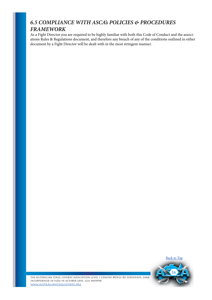#### <span id="page-16-0"></span>*6.5 COMPLIANCE WITH ASCA's POLICIES & PROCEDURES FRAMEWORK*

As a Fight Director you are required to be highly familiar with both this Code of Conduct and the associations Rules & Regulations document, and therefore any breach of any of the conditions outlined in either document by a Fight Director will be dealt with in the most stringent manner.

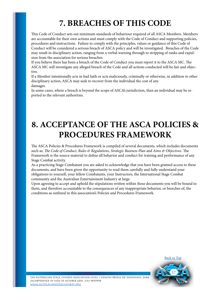## **7. BREACHES OF THIS CODE**

<span id="page-17-0"></span>This Code of Conduct sets out minimum standards of behaviour required of all ASCA Members. Members are accountable for their own actions and must comply with the Code of Conduct and supporting policies, procedures and instructions. Failure to comply with the principles, values or guidance of this Code of Conduct will be considered a serious breach of ASCA policy and will be investigated. Breaches of the Code may result in disciplinary action, ranging from a verbal warning through to stripping of ranks and expulsion from the association for serious breaches.

If you believe there has been a breach of the Code of Conduct you must report it to the ASCA MC. The ASCA MC will investigate any alleged breach of the Code and all actions conducted will be fair and objective.

If a Member intentionally acts in bad faith or acts maliciously, criminally or otherwise, in addition to other disciplinary action, ASCA may seek to recover from the individual the cost of any damages.

In some cases, where a breach is beyond the scope of ASCA's jurisdiction, then an individual may be reported to the relevant authorities.

## **8. ACCEPTANCE OF THE ASCA POLICIES & PROCEDURES FRAMEWORK**

The ASCA Policies & Procedures Framework is compiled of several documents, which includes documents such as: *The Code of Conduct*, *Rules & Regulations*, *Strategic Business Plan* and *Aims & Objectives.* The Framework is the source material to define all behavior and conduct for training and performance of any Stage Combat activity.

As a practicing Stage Combatant you are asked to acknowledge that you have been granted access to these documents, and have been given the opportunity to read them carefully and fully understand your obligations to yourself, your fellow Combatants, your Instructors, the International Stage Combat community and the Australian Entertainment Industry at large.

Upon agreeing to accept and uphold the stipulations written within these documents you will be bound to them, and therefore accountable to the consequences of any inappropriate behavior, or breeches of, the conditions as outlined in this association's Policies and Procedures Framework.